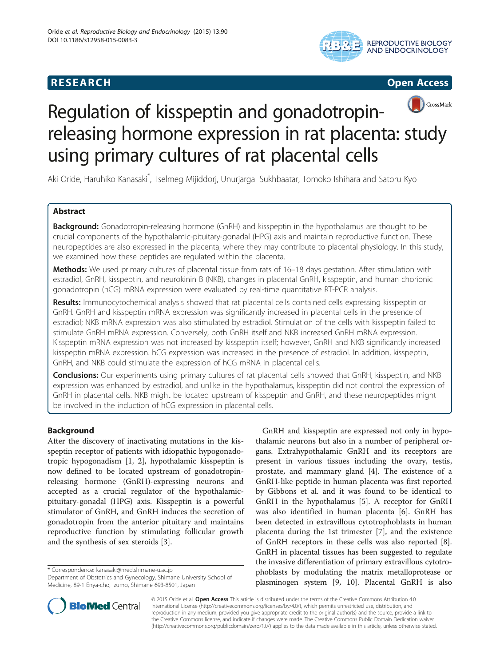# **RESEARCH CHINESE ARCH CHINESE ARCH CHINESE ARCH**







# Regulation of kisspeptin and gonadotropinreleasing hormone expression in rat placenta: study using primary cultures of rat placental cells

Aki Oride, Haruhiko Kanasaki<sup>\*</sup>, Tselmeg Mijiddorj, Unurjargal Sukhbaatar, Tomoko Ishihara and Satoru Kyo

# Abstract

Background: Gonadotropin-releasing hormone (GnRH) and kisspeptin in the hypothalamus are thought to be crucial components of the hypothalamic-pituitary-gonadal (HPG) axis and maintain reproductive function. These neuropeptides are also expressed in the placenta, where they may contribute to placental physiology. In this study, we examined how these peptides are regulated within the placenta.

Methods: We used primary cultures of placental tissue from rats of 16-18 days gestation. After stimulation with estradiol, GnRH, kisspeptin, and neurokinin B (NKB), changes in placental GnRH, kisspeptin, and human chorionic gonadotropin (hCG) mRNA expression were evaluated by real-time quantitative RT-PCR analysis.

Results: Immunocytochemical analysis showed that rat placental cells contained cells expressing kisspeptin or GnRH. GnRH and kisspeptin mRNA expression was significantly increased in placental cells in the presence of estradiol; NKB mRNA expression was also stimulated by estradiol. Stimulation of the cells with kisspeptin failed to stimulate GnRH mRNA expression. Conversely, both GnRH itself and NKB increased GnRH mRNA expression. Kisspeptin mRNA expression was not increased by kisspeptin itself; however, GnRH and NKB significantly increased kisspeptin mRNA expression. hCG expression was increased in the presence of estradiol. In addition, kisspeptin, GnRH, and NKB could stimulate the expression of hCG mRNA in placental cells.

Conclusions: Our experiments using primary cultures of rat placental cells showed that GnRH, kisspeptin, and NKB expression was enhanced by estradiol, and unlike in the hypothalamus, kisspeptin did not control the expression of GnRH in placental cells. NKB might be located upstream of kisspeptin and GnRH, and these neuropeptides might be involved in the induction of hCG expression in placental cells.

# Background

After the discovery of inactivating mutations in the kisspeptin receptor of patients with idiopathic hypogonadotropic hypogonadism [[1](#page-7-0), [2](#page-7-0)], hypothalamic kisspeptin is now defined to be located upstream of gonadotropinreleasing hormone (GnRH)-expressing neurons and accepted as a crucial regulator of the hypothalamicpituitary-gonadal (HPG) axis. Kisspeptin is a powerful stimulator of GnRH, and GnRH induces the secretion of gonadotropin from the anterior pituitary and maintains reproductive function by stimulating follicular growth and the synthesis of sex steroids [[3\]](#page-7-0).

\* Correspondence: [kanasaki@med.shimane-u.ac.jp](mailto:kanasaki@med.shimane-u.ac.jp)

GnRH and kisspeptin are expressed not only in hypothalamic neurons but also in a number of peripheral organs. Extrahypothalamic GnRH and its receptors are present in various tissues including the ovary, testis, prostate, and mammary gland [\[4\]](#page-7-0). The existence of a GnRH-like peptide in human placenta was first reported by Gibbons et al. and it was found to be identical to GnRH in the hypothalamus [[5\]](#page-7-0). A receptor for GnRH was also identified in human placenta [\[6](#page-7-0)]. GnRH has been detected in extravillous cytotrophoblasts in human placenta during the 1st trimester [[7\]](#page-7-0), and the existence of GnRH receptors in these cells was also reported [\[8](#page-7-0)]. GnRH in placental tissues has been suggested to regulate the invasive differentiation of primary extravillous cytotrophoblasts by modulating the matrix metalloprotease or plasminogen system [\[9](#page-7-0), [10\]](#page-7-0). Placental GnRH is also



© 2015 Oride et al. Open Access This article is distributed under the terms of the Creative Commons Attribution 4.0 International License [\(http://creativecommons.org/licenses/by/4.0/](http://creativecommons.org/licenses/by/4.0/)), which permits unrestricted use, distribution, and reproduction in any medium, provided you give appropriate credit to the original author(s) and the source, provide a link to the Creative Commons license, and indicate if changes were made. The Creative Commons Public Domain Dedication waiver [\(http://creativecommons.org/publicdomain/zero/1.0/](http://creativecommons.org/publicdomain/zero/1.0/)) applies to the data made available in this article, unless otherwise stated.

Department of Obstetrics and Gynecology, Shimane University School of Medicine, 89-1 Enya-cho, Izumo, Shimane 693-8501, Japan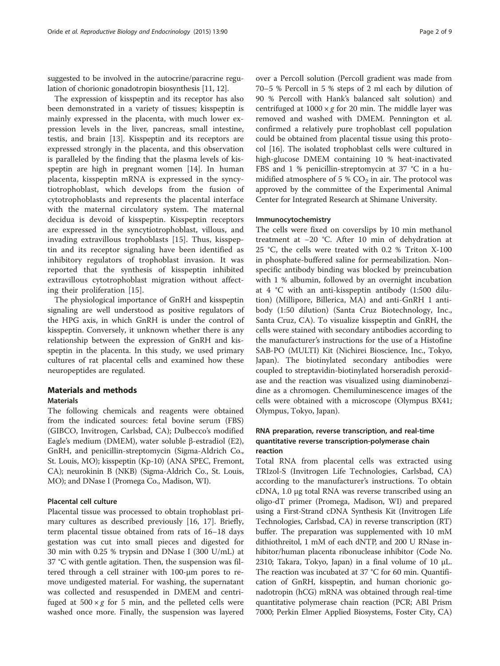suggested to be involved in the autocrine/paracrine regulation of chorionic gonadotropin biosynthesis [[11](#page-7-0), [12\]](#page-7-0).

The expression of kisspeptin and its receptor has also been demonstrated in a variety of tissues; kisspeptin is mainly expressed in the placenta, with much lower expression levels in the liver, pancreas, small intestine, testis, and brain [[13](#page-7-0)]. Kisspeptin and its receptors are expressed strongly in the placenta, and this observation is paralleled by the finding that the plasma levels of kisspeptin are high in pregnant women [[14\]](#page-7-0). In human placenta, kisspeptin mRNA is expressed in the syncytiotrophoblast, which develops from the fusion of cytotrophoblasts and represents the placental interface with the maternal circulatory system. The maternal decidua is devoid of kisspeptin. Kisspeptin receptors are expressed in the syncytiotrophoblast, villous, and invading extravillous trophoblasts [\[15](#page-7-0)]. Thus, kisspeptin and its receptor signaling have been identified as inhibitory regulators of trophoblast invasion. It was reported that the synthesis of kisspeptin inhibited extravillous cytotrophoblast migration without affecting their proliferation [[15](#page-7-0)].

The physiological importance of GnRH and kisspeptin signaling are well understood as positive regulators of the HPG axis, in which GnRH is under the control of kisspeptin. Conversely, it unknown whether there is any relationship between the expression of GnRH and kisspeptin in the placenta. In this study, we used primary cultures of rat placental cells and examined how these neuropeptides are regulated.

## Materials and methods

# Materials

The following chemicals and reagents were obtained from the indicated sources: fetal bovine serum (FBS) (GIBCO, Invitrogen, Carlsbad, CA); Dulbecco's modified Eagle's medium (DMEM), water soluble β-estradiol (E2), GnRH, and penicillin-streptomycin (Sigma-Aldrich Co., St. Louis, MO); kisspeptin (Kp-10) (ANA SPEC, Fremont, CA); neurokinin B (NKB) (Sigma-Aldrich Co., St. Louis, MO); and DNase I (Promega Co., Madison, WI).

# Placental cell culture

Placental tissue was processed to obtain trophoblast primary cultures as described previously [[16](#page-7-0), [17](#page-7-0)]. Briefly, term placental tissue obtained from rats of 16–18 days gestation was cut into small pieces and digested for 30 min with 0.25 % trypsin and DNase I (300 U/mL) at 37 °C with gentle agitation. Then, the suspension was filtered through a cell strainer with 100-μm pores to remove undigested material. For washing, the supernatant was collected and resuspended in DMEM and centrifuged at  $500 \times g$  for 5 min, and the pelleted cells were washed once more. Finally, the suspension was layered

over a Percoll solution (Percoll gradient was made from 70–5 % Percoll in 5 % steps of 2 ml each by dilution of 90 % Percoll with Hank's balanced salt solution) and centrifuged at  $1000 \times g$  for 20 min. The middle layer was removed and washed with DMEM. Pennington et al. confirmed a relatively pure trophoblast cell population could be obtained from placental tissue using this protocol [[16\]](#page-7-0). The isolated trophoblast cells were cultured in high-glucose DMEM containing 10 % heat-inactivated FBS and 1 % penicillin-streptomycin at 37 °C in a humidified atmosphere of 5 %  $CO<sub>2</sub>$  in air. The protocol was approved by the committee of the Experimental Animal Center for Integrated Research at Shimane University.

#### Immunocytochemistry

The cells were fixed on coverslips by 10 min methanol treatment at −20 °C. After 10 min of dehydration at 25 °C, the cells were treated with 0.2 % Triton X-100 in phosphate-buffered saline for permeabilization. Nonspecific antibody binding was blocked by preincubation with 1 % albumin, followed by an overnight incubation at 4 °C with an anti-kisspeptin antibody (1:500 dilution) (Millipore, Billerica, MA) and anti-GnRH 1 antibody (1:50 dilution) (Santa Cruz Biotechnology, Inc., Santa Cruz, CA). To visualize kisspeptin and GnRH, the cells were stained with secondary antibodies according to the manufacturer's instructions for the use of a Histofine SAB-PO (MULTI) Kit (Nichirei Bioscience, Inc., Tokyo, Japan). The biotinylated secondary antibodies were coupled to streptavidin-biotinylated horseradish peroxidase and the reaction was visualized using diaminobenzidine as a chromogen. Chemiluminescence images of the cells were obtained with a microscope (Olympus BX41; Olympus, Tokyo, Japan).

# RNA preparation, reverse transcription, and real-time quantitative reverse transcription-polymerase chain reaction

Total RNA from placental cells was extracted using TRIzol-S (Invitrogen Life Technologies, Carlsbad, CA) according to the manufacturer's instructions. To obtain cDNA, 1.0 μg total RNA was reverse transcribed using an oligo-dT primer (Promega, Madison, WI) and prepared using a First-Strand cDNA Synthesis Kit (Invitrogen Life Technologies, Carlsbad, CA) in reverse transcription (RT) buffer. The preparation was supplemented with 10 mM dithiothreitol, 1 mM of each dNTP, and 200 U RNase inhibitor/human placenta ribonuclease inhibitor (Code No. 2310; Takara, Tokyo, Japan) in a final volume of 10 μL. The reaction was incubated at 37 °C for 60 min. Quantification of GnRH, kisspeptin, and human chorionic gonadotropin (hCG) mRNA was obtained through real-time quantitative polymerase chain reaction (PCR; ABI Prism 7000; Perkin Elmer Applied Biosystems, Foster City, CA)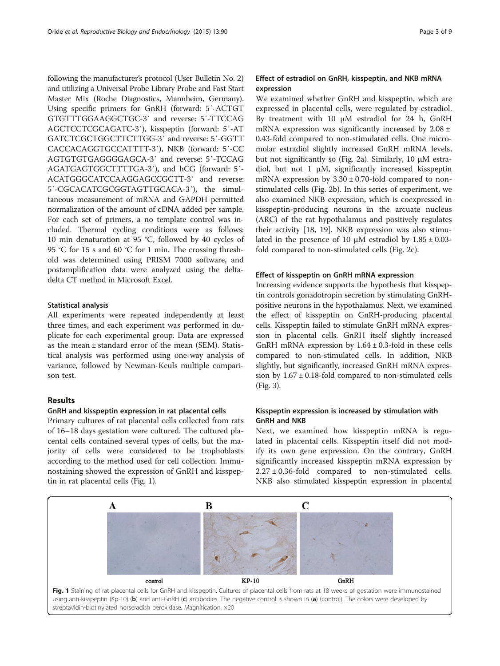following the manufacturer's protocol (User Bulletin No. 2) and utilizing a Universal Probe Library Probe and Fast Start Master Mix (Roche Diagnostics, Mannheim, Germany). Using specific primers for GnRH (forward: 5′-ACTGT GTGTTTGGAAGGCTGC-3′ and reverse: 5′-TTCCAG AGCTCCTCGCAGATC-3′), kisspeptin (forward: 5′-AT GATCTCGCTGGCTTCTTGG-3′ and reverse: 5′-GGTT CACCACAGGTGCCATTTT-3′), NKB (forward: 5′-CC AGTGTGTGAGGGGAGCA-3′ and reverse: 5′-TCCAG AGATGAGTGGCTTTTGA-3′), and hCG (forward: 5′- ACATGGGCATCCAAGGAGCCGCTT-3′ and reverse: 5′-CGCACATCGCGGTAGTTGCACA-3′), the simultaneous measurement of mRNA and GAPDH permitted normalization of the amount of cDNA added per sample. For each set of primers, a no template control was included. Thermal cycling conditions were as follows: 10 min denaturation at 95 °C, followed by 40 cycles of 95 °C for 15 s and 60 °C for 1 min. The crossing threshold was determined using PRISM 7000 software, and postamplification data were analyzed using the deltadelta CT method in Microsoft Excel.

#### Statistical analysis

All experiments were repeated independently at least three times, and each experiment was performed in duplicate for each experimental group. Data are expressed as the mean ± standard error of the mean (SEM). Statistical analysis was performed using one-way analysis of variance, followed by Newman-Keuls multiple comparison test.

# Results

#### GnRH and kisspeptin expression in rat placental cells

Primary cultures of rat placental cells collected from rats of 16–18 days gestation were cultured. The cultured placental cells contained several types of cells, but the majority of cells were considered to be trophoblasts according to the method used for cell collection. Immunostaining showed the expression of GnRH and kisspeptin in rat placental cells (Fig. 1).

# Effect of estradiol on GnRH, kisspeptin, and NKB mRNA expression

We examined whether GnRH and kisspeptin, which are expressed in placental cells, were regulated by estradiol. By treatment with 10 μM estradiol for 24 h, GnRH mRNA expression was significantly increased by  $2.08 \pm$ 0.43-fold compared to non-stimulated cells. One micromolar estradiol slightly increased GnRH mRNA levels, but not significantly so (Fig. [2a](#page-3-0)). Similarly, 10 μM estradiol, but not 1 μM, significantly increased kisspeptin mRNA expression by  $3.30 \pm 0.70$ -fold compared to nonstimulated cells (Fig. [2b\)](#page-3-0). In this series of experiment, we also examined NKB expression, which is coexpressed in kisspeptin-producing neurons in the arcuate nucleus (ARC) of the rat hypothalamus and positively regulates their activity [[18, 19\]](#page-7-0). NKB expression was also stimulated in the presence of 10  $\mu$ M estradiol by 1.85  $\pm$  0.03fold compared to non-stimulated cells (Fig. [2c\)](#page-3-0).

#### Effect of kisspeptin on GnRH mRNA expression

Increasing evidence supports the hypothesis that kisspeptin controls gonadotropin secretion by stimulating GnRHpositive neurons in the hypothalamus. Next, we examined the effect of kisspeptin on GnRH-producing placental cells. Kisspeptin failed to stimulate GnRH mRNA expression in placental cells. GnRH itself slightly increased GnRH mRNA expression by  $1.64 \pm 0.3$ -fold in these cells compared to non-stimulated cells. In addition, NKB slightly, but significantly, increased GnRH mRNA expression by  $1.67 \pm 0.18$ -fold compared to non-stimulated cells (Fig. [3](#page-4-0)).

# Kisspeptin expression is increased by stimulation with GnRH and NKB

Next, we examined how kisspeptin mRNA is regulated in placental cells. Kisspeptin itself did not modify its own gene expression. On the contrary, GnRH significantly increased kisspeptin mRNA expression by  $2.27 \pm 0.36$ -fold compared to non-stimulated cells. NKB also stimulated kisspeptin expression in placental

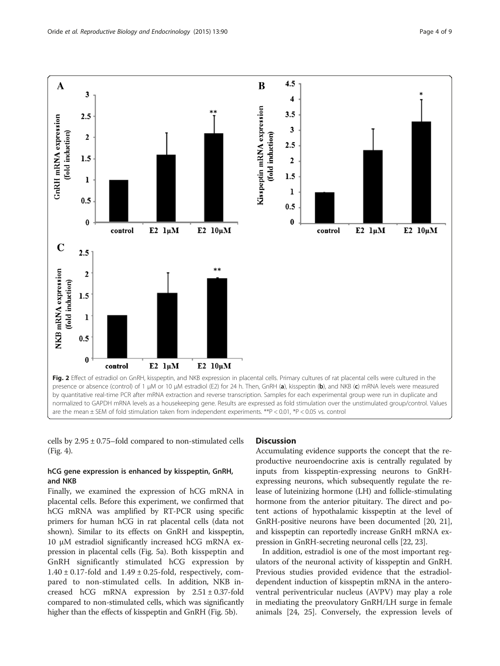<span id="page-3-0"></span>

cells by  $2.95 \pm 0.75$ –fold compared to non-stimulated cells (Fig. [4](#page-4-0)).

# hCG gene expression is enhanced by kisspeptin, GnRH, and NKB

Finally, we examined the expression of hCG mRNA in placental cells. Before this experiment, we confirmed that hCG mRNA was amplified by RT-PCR using specific primers for human hCG in rat placental cells (data not shown). Similar to its effects on GnRH and kisspeptin, 10 μM estradiol significantly increased hCG mRNA expression in placental cells (Fig. [5a](#page-5-0)). Both kisspeptin and GnRH significantly stimulated hCG expression by  $1.40 \pm 0.17$ -fold and  $1.49 \pm 0.25$ -fold, respectively, compared to non-stimulated cells. In addition, NKB increased hCG mRNA expression by  $2.51 \pm 0.37$ -fold compared to non-stimulated cells, which was significantly higher than the effects of kisspeptin and GnRH (Fig. [5b\)](#page-5-0).

## **Discussion**

Accumulating evidence supports the concept that the reproductive neuroendocrine axis is centrally regulated by inputs from kisspeptin-expressing neurons to GnRHexpressing neurons, which subsequently regulate the release of luteinizing hormone (LH) and follicle-stimulating hormone from the anterior pituitary. The direct and potent actions of hypothalamic kisspeptin at the level of GnRH-positive neurons have been documented [[20, 21](#page-7-0)], and kisspeptin can reportedly increase GnRH mRNA expression in GnRH-secreting neuronal cells [\[22, 23](#page-7-0)].

In addition, estradiol is one of the most important regulators of the neuronal activity of kisspeptin and GnRH. Previous studies provided evidence that the estradioldependent induction of kisspeptin mRNA in the anteroventral periventricular nucleus (AVPV) may play a role in mediating the preovulatory GnRH/LH surge in female animals [[24, 25](#page-7-0)]. Conversely, the expression levels of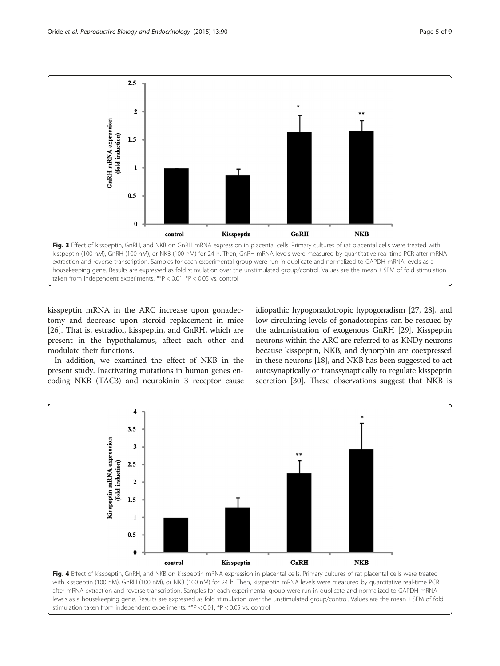<span id="page-4-0"></span>

kisspeptin mRNA in the ARC increase upon gonadectomy and decrease upon steroid replacement in mice [[26\]](#page-7-0). That is, estradiol, kisspeptin, and GnRH, which are present in the hypothalamus, affect each other and modulate their functions.

In addition, we examined the effect of NKB in the present study. Inactivating mutations in human genes encoding NKB (TAC3) and neurokinin 3 receptor cause

idiopathic hypogonadotropic hypogonadism [[27](#page-7-0), [28\]](#page-7-0), and low circulating levels of gonadotropins can be rescued by the administration of exogenous GnRH [\[29](#page-7-0)]. Kisspeptin neurons within the ARC are referred to as KNDy neurons because kisspeptin, NKB, and dynorphin are coexpressed in these neurons [[18](#page-7-0)], and NKB has been suggested to act autosynaptically or transsynaptically to regulate kisspeptin secretion [\[30\]](#page-7-0). These observations suggest that NKB is



after mRNA extraction and reverse transcription. Samples for each experimental group were run in duplicate and normalized to GAPDH mRNA levels as a housekeeping gene. Results are expressed as fold stimulation over the unstimulated group/control. Values are the mean ± SEM of fold stimulation taken from independent experiments. \*\*P < 0.01, \*P < 0.05 vs. control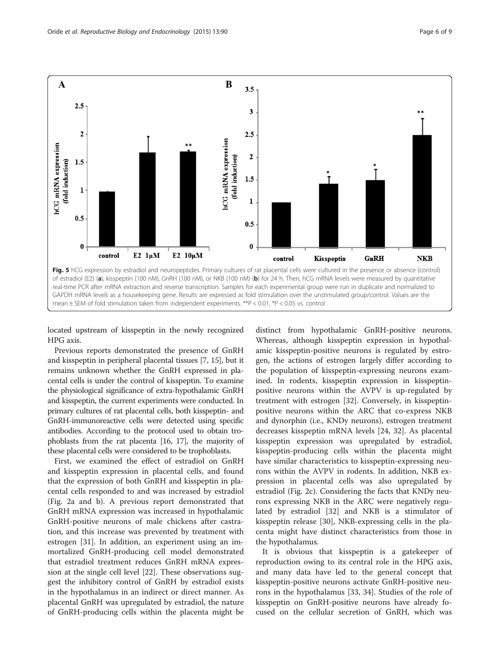<span id="page-5-0"></span>

located upstream of kisspeptin in the newly recognized HPG axis.

Previous reports demonstrated the presence of GnRH and kisspeptin in peripheral placental tissues [[7](#page-7-0), [15\]](#page-7-0), but it remains unknown whether the GnRH expressed in placental cells is under the control of kisspeptin. To examine the physiological significance of extra-hypothalamic GnRH and kisspeptin, the current experiments were conducted. In primary cultures of rat placental cells, both kisspeptin- and GnRH-immunoreactive cells were detected using specific antibodies. According to the protocol used to obtain trophoblasts from the rat placenta [\[16](#page-7-0), [17](#page-7-0)], the majority of these placental cells were considered to be trophoblasts.

First, we examined the effect of estradiol on GnRH and kisspeptin expression in placental cells, and found that the expression of both GnRH and kisspeptin in placental cells responded to and was increased by estradiol (Fig. [2a](#page-3-0) and [b\)](#page-3-0). A previous report demonstrated that GnRH mRNA expression was increased in hypothalamic GnRH-positive neurons of male chickens after castration, and this increase was prevented by treatment with estrogen [[31\]](#page-7-0). In addition, an experiment using an immortalized GnRH-producing cell model demonstrated that estradiol treatment reduces GnRH mRNA expression at the single cell level [[22](#page-7-0)]. These observations suggest the inhibitory control of GnRH by estradiol exists in the hypothalamus in an indirect or direct manner. As placental GnRH was upregulated by estradiol, the nature of GnRH-producing cells within the placenta might be

distinct from hypothalamic GnRH-positive neurons. Whereas, although kisspeptin expression in hypothalamic kisspeptin-positive neurons is regulated by estrogen, the actions of estrogen largely differ according to the population of kisspeptin-expressing neurons examined. In rodents, kisspeptin expression in kisspeptinpositive neurons within the AVPV is up-regulated by treatment with estrogen [\[32\]](#page-7-0). Conversely, in kisspeptinpositive neurons within the ARC that co-express NKB and dynorphin (i.e., KNDy neurons), estrogen treatment decreases kisspeptin mRNA levels [\[24, 32\]](#page-7-0). As placental kisspeptin expression was upregulated by estradiol, kisspeptin-producing cells within the placenta might have similar characteristics to kisspeptin-expressing neurons within the AVPV in rodents. In addition, NKB expression in placental cells was also upregulated by estradiol (Fig. [2c\)](#page-3-0). Considering the facts that KNDy neurons expressing NKB in the ARC were negatively regulated by estradiol [\[32](#page-7-0)] and NKB is a stimulator of kisspeptin release [\[30\]](#page-7-0), NKB-expressing cells in the placenta might have distinct characteristics from those in the hypothalamus.

It is obvious that kisspeptin is a gatekeeper of reproduction owing to its central role in the HPG axis, and many data have led to the general concept that kisspeptin-positive neurons activate GnRH-positive neurons in the hypothalamus [\[33](#page-8-0), [34](#page-8-0)]. Studies of the role of kisspeptin on GnRH-positive neurons have already focused on the cellular secretion of GnRH, which was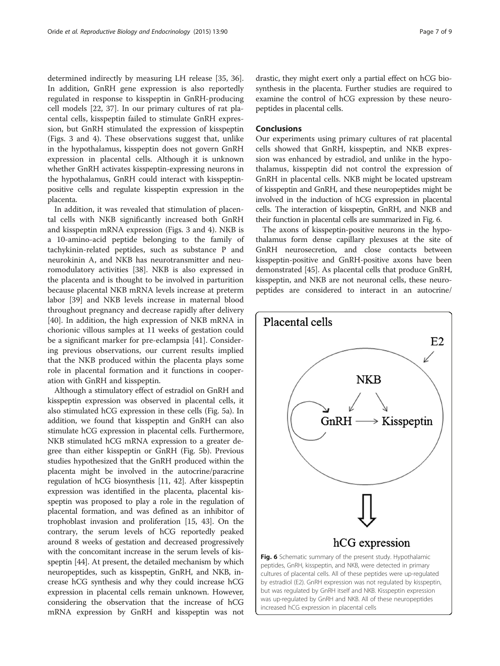determined indirectly by measuring LH release [[35, 36](#page-8-0)]. In addition, GnRH gene expression is also reportedly regulated in response to kisspeptin in GnRH-producing cell models [[22](#page-7-0), [37](#page-8-0)]. In our primary cultures of rat placental cells, kisspeptin failed to stimulate GnRH expression, but GnRH stimulated the expression of kisspeptin (Figs. [3](#page-4-0) and [4](#page-4-0)). These observations suggest that, unlike in the hypothalamus, kisspeptin does not govern GnRH expression in placental cells. Although it is unknown whether GnRH activates kisspeptin-expressing neurons in the hypothalamus, GnRH could interact with kisspeptinpositive cells and regulate kisspeptin expression in the placenta.

In addition, it was revealed that stimulation of placental cells with NKB significantly increased both GnRH and kisspeptin mRNA expression (Figs. [3](#page-4-0) and [4\)](#page-4-0). NKB is a 10-amino-acid peptide belonging to the family of tachykinin-related peptides, such as substance P and neurokinin A, and NKB has neurotransmitter and neuromodulatory activities [\[38\]](#page-8-0). NKB is also expressed in the placenta and is thought to be involved in parturition because placental NKB mRNA levels increase at preterm labor [[39](#page-8-0)] and NKB levels increase in maternal blood throughout pregnancy and decrease rapidly after delivery [[40\]](#page-8-0). In addition, the high expression of NKB mRNA in chorionic villous samples at 11 weeks of gestation could be a significant marker for pre-eclampsia [\[41\]](#page-8-0). Considering previous observations, our current results implied that the NKB produced within the placenta plays some role in placental formation and it functions in cooperation with GnRH and kisspeptin.

Although a stimulatory effect of estradiol on GnRH and kisspeptin expression was observed in placental cells, it also stimulated hCG expression in these cells (Fig. [5a\)](#page-5-0). In addition, we found that kisspeptin and GnRH can also stimulate hCG expression in placental cells. Furthermore, NKB stimulated hCG mRNA expression to a greater degree than either kisspeptin or GnRH (Fig. [5b\)](#page-5-0). Previous studies hypothesized that the GnRH produced within the placenta might be involved in the autocrine/paracrine regulation of hCG biosynthesis [\[11,](#page-7-0) [42\]](#page-8-0). After kisspeptin expression was identified in the placenta, placental kisspeptin was proposed to play a role in the regulation of placental formation, and was defined as an inhibitor of trophoblast invasion and proliferation [\[15,](#page-7-0) [43\]](#page-8-0). On the contrary, the serum levels of hCG reportedly peaked around 8 weeks of gestation and decreased progressively with the concomitant increase in the serum levels of kisspeptin [[44](#page-8-0)]. At present, the detailed mechanism by which neuropeptides, such as kisspeptin, GnRH, and NKB, increase hCG synthesis and why they could increase hCG expression in placental cells remain unknown. However, considering the observation that the increase of hCG mRNA expression by GnRH and kisspeptin was not

drastic, they might exert only a partial effect on hCG biosynthesis in the placenta. Further studies are required to examine the control of hCG expression by these neuropeptides in placental cells.

## **Conclusions**

Our experiments using primary cultures of rat placental cells showed that GnRH, kisspeptin, and NKB expression was enhanced by estradiol, and unlike in the hypothalamus, kisspeptin did not control the expression of GnRH in placental cells. NKB might be located upstream of kisspeptin and GnRH, and these neuropeptides might be involved in the induction of hCG expression in placental cells. The interaction of kisspeptin, GnRH, and NKB and their function in placental cells are summarized in Fig. 6.

The axons of kisspeptin-positive neurons in the hypothalamus form dense capillary plexuses at the site of GnRH neurosecretion, and close contacts between kisspeptin-positive and GnRH-positive axons have been demonstrated [[45](#page-8-0)]. As placental cells that produce GnRH, kisspeptin, and NKB are not neuronal cells, these neuropeptides are considered to interact in an autocrine/

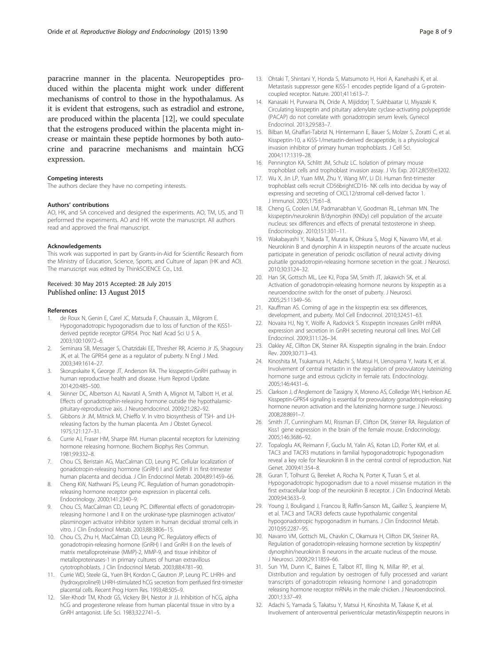<span id="page-7-0"></span>paracrine manner in the placenta. Neuropeptides produced within the placenta might work under different mechanisms of control to those in the hypothalamus. As it is evident that estrogens, such as estradiol and estrone, are produced within the placenta [12], we could speculate that the estrogens produced within the placenta might increase or maintain these peptide hormones by both autocrine and paracrine mechanisms and maintain hCG expression.

#### Competing interests

The authors declare they have no competing interests.

#### Authors' contributions

AO, HK, and SA conceived and designed the experiments. AO, TM, US, and TI performed the experiments. AO and HK wrote the manuscript. All authors read and approved the final manuscript.

#### Acknowledgements

This work was supported in part by Grants-in-Aid for Scientific Research from the Ministry of Education, Science, Sports, and Culture of Japan (HK and AO). The manuscript was edited by ThinkSCIENCE Co., Ltd.

#### Received: 30 May 2015 Accepted: 28 July 2015 Published online: 13 August 2015

#### References

- 1. de Roux N, Genin E, Carel JC, Matsuda F, Chaussain JL, Milgrom E. Hypogonadotropic hypogonadism due to loss of function of the KiSS1 derived peptide receptor GPR54. Proc Natl Acad Sci U S A. 2003;100:10972–6.
- 2. Seminara SB, Messager S, Chatzidaki EE, Thresher RR, Acierno Jr JS, Shagoury JK, et al. The GPR54 gene as a regulator of puberty. N Engl J Med. 2003;349:1614–27.
- Skorupskaite K, George JT, Anderson RA. The kisspeptin-GnRH pathway in human reproductive health and disease. Hum Reprod Update. 2014;20:485–500.
- 4. Skinner DC, Albertson AJ, Navratil A, Smith A, Mignot M, Talbott H, et al. Effects of gonadotrophin-releasing hormone outside the hypothalamicpituitary-reproductive axis. J Neuroendocrinol. 2009;21:282–92.
- 5. Gibbons Jr JM, Mitnick M, Chieffo V. In vitro biosynthesis of TSH- and LHreleasing factors by the human placenta. Am J Obstet Gynecol. 1975;121:127–31.
- 6. Currie AJ, Fraser HM, Sharpe RM. Human placental receptors for luteinizing hormone releasing hormone. Biochem Biophys Res Commun. 1981;99:332–8.
- 7. Chou CS, Beristain AG, MacCalman CD, Leung PC. Cellular localization of gonadotropin-releasing hormone (GnRH) I and GnRH II in first-trimester human placenta and decidua. J Clin Endocrinol Metab. 2004;89:1459–66.
- 8. Cheng KW, Nathwani PS, Leung PC. Regulation of human gonadotropinreleasing hormone receptor gene expression in placental cells. Endocrinology. 2000;141:2340–9.
- 9. Chou CS, MacCalman CD, Leung PC. Differential effects of gonadotropinreleasing hormone I and II on the urokinase-type plasminogen activator/ plasminogen activator inhibitor system in human decidual stromal cells in vitro. J Clin Endocrinol Metab. 2003;88:3806–15.
- 10. Chou CS, Zhu H, MacCalman CD, Leung PC. Regulatory effects of gonadotropin-releasing hormone (GnRH) I and GnRH II on the levels of matrix metalloproteinase (MMP)-2, MMP-9, and tissue inhibitor of metalloproteinases-1 in primary cultures of human extravillous cytotrophoblasts. J Clin Endocrinol Metab. 2003;88:4781–90.
- 11. Currie WD, Steele GL, Yuen BH, Kordon C, Gautron JP, Leung PC. LHRH- and (hydroxyproline9) LHRH-stimulated hCG secretion from perifused first-trimester placental cells. Recent Prog Horm Res. 1993;48:505–9.
- 12. Siler-Khodr TM, Khodr GS, Vickery BH, Nestor Jr JJ. Inhibition of hCG, alpha hCG and progesterone release from human placental tissue in vitro by a GnRH antagonist. Life Sci. 1983;32:2741–5.
- 13. Ohtaki T, Shintani Y, Honda S, Matsumoto H, Hori A, Kanehashi K, et al. Metastasis suppressor gene KiSS-1 encodes peptide ligand of a G-proteincoupled receptor. Nature. 2001;411:613–7.
- 14. Kanasaki H, Purwana IN, Oride A, Mijiddorj T, Sukhbaatar U, Miyazaki K. Circulating kisspeptin and pituitary adenylate cyclase-activating polypeptide (PACAP) do not correlate with gonadotropin serum levels. Gynecol Endocrinol. 2013;29:583–7.
- 15. Bilban M, Ghaffari-Tabrizi N, Hintermann E, Bauer S, Molzer S, Zoratti C, et al. Kisspeptin-10, a KiSS-1/metastin-derived decapeptide, is a physiological invasion inhibitor of primary human trophoblasts. J Cell Sci. 2004;117:1319–28.
- 16. Pennington KA, Schlitt JM, Schulz LC. Isolation of primary mouse trophoblast cells and trophoblast invasion assay. J Vis Exp. 2012;8(59):e3202.
- 17. Wu X, Jin LP, Yuan MM, Zhu Y, Wang MY, Li DJ. Human first-trimester trophoblast cells recruit CD56brightCD16- NK cells into decidua by way of expressing and secreting of CXCL12/stromal cell-derived factor 1. J Immunol. 2005;175:61–8.
- 18. Cheng G, Coolen LM, Padmanabhan V, Goodman RL, Lehman MN. The kisspeptin/neurokinin B/dynorphin (KNDy) cell population of the arcuate nucleus: sex differences and effects of prenatal testosterone in sheep. Endocrinology. 2010;151:301–11.
- 19. Wakabayashi Y, Nakada T, Murata K, Ohkura S, Mogi K, Navarro VM, et al. Neurokinin B and dynorphin A in kisspeptin neurons of the arcuate nucleus participate in generation of periodic oscillation of neural activity driving pulsatile gonadotropin-releasing hormone secretion in the goat. J Neurosci. 2010;30:3124–32.
- 20. Han SK, Gottsch ML, Lee KJ, Popa SM, Smith JT, Jakawich SK, et al. Activation of gonadotropin-releasing hormone neurons by kisspeptin as a neuroendocrine switch for the onset of puberty. J Neurosci. 2005;25:11349–56.
- 21. Kauffman AS. Coming of age in the kisspeptin era: sex differences, development, and puberty. Mol Cell Endocrinol. 2010;324:51–63.
- 22. Novaira HJ, Ng Y, Wolfe A, Radovick S. Kisspeptin increases GnRH mRNA expression and secretion in GnRH secreting neuronal cell lines. Mol Cell Endocrinol. 2009;311:126–34.
- 23. Oakley AE, Clifton DK, Steiner RA. Kisspeptin signaling in the brain. Endocr Rev. 2009;30:713–43.
- 24. Kinoshita M, Tsukamura H, Adachi S, Matsui H, Uenoyama Y, Iwata K, et al. Involvement of central metastin in the regulation of preovulatory luteinizing hormone surge and estrous cyclicity in female rats. Endocrinology. 2005;146:4431–6.
- 25. Clarkson J, d'Anglemont de Tassigny X, Moreno AS, Colledge WH, Herbison AE. Kisspeptin-GPR54 signaling is essential for preovulatory gonadotropin-releasing hormone neuron activation and the luteinizing hormone surge. J Neurosci. 2008;28:8691–7.
- 26. Smith JT, Cunningham MJ, Rissman EF, Clifton DK, Steiner RA. Regulation of Kiss1 gene expression in the brain of the female mouse. Endocrinology. 2005;146:3686–92.
- 27. Topaloglu AK, Reimann F, Guclu M, Yalin AS, Kotan LD, Porter KM, et al. TAC3 and TACR3 mutations in familial hypogonadotropic hypogonadism reveal a key role for Neurokinin B in the central control of reproduction. Nat Genet. 2009;41:354–8.
- 28. Guran T, Tolhurst G, Bereket A, Rocha N, Porter K, Turan S, et al. Hypogonadotropic hypogonadism due to a novel missense mutation in the first extracellular loop of the neurokinin B receptor. J Clin Endocrinol Metab. 2009;94:3633–9.
- 29. Young J, Bouligand J, Francou B, Raffin-Sanson ML, Gaillez S, Jeanpierre M, et al. TAC3 and TACR3 defects cause hypothalamic congenital hypogonadotropic hypogonadism in humans. J Clin Endocrinol Metab. 2010;95:2287–95.
- 30. Navarro VM, Gottsch ML, Chavkin C, Okamura H, Clifton DK, Steiner RA. Regulation of gonadotropin-releasing hormone secretion by kisspeptin/ dynorphin/neurokinin B neurons in the arcuate nucleus of the mouse. J Neurosci. 2009;29:11859–66.
- 31. Sun YM, Dunn IC, Baines E, Talbot RT, Illing N, Millar RP, et al. Distribution and regulation by oestrogen of fully processed and variant transcripts of gonadotropin releasing hormone I and gonadotropin releasing hormone receptor mRNAs in the male chicken. J Neuroendocrinol. 2001;13:37–49.
- 32. Adachi S, Yamada S, Takatsu Y, Matsui H, Kinoshita M, Takase K, et al. Involvement of anteroventral periventricular metastin/kisspeptin neurons in